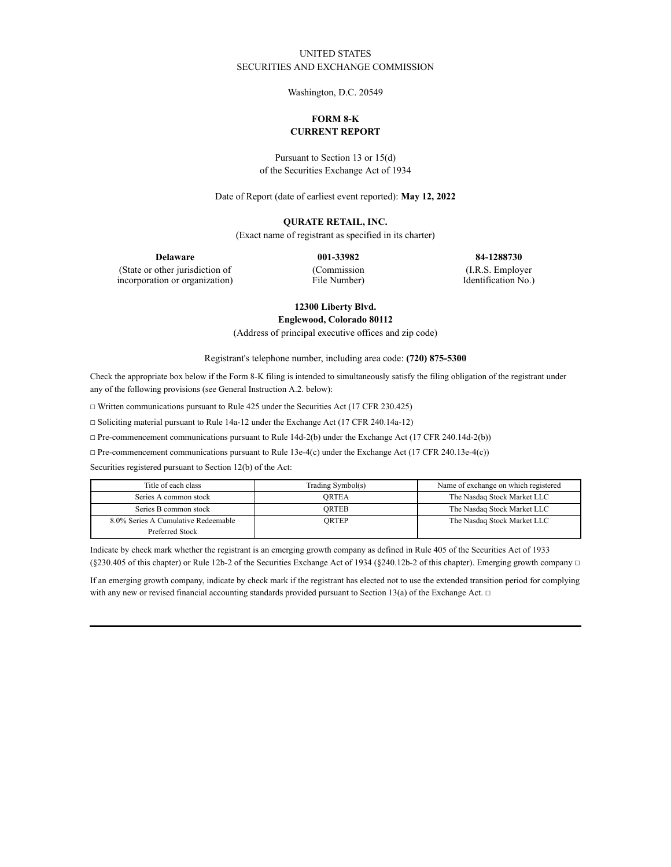# UNITED STATES SECURITIES AND EXCHANGE COMMISSION

Washington, D.C. 20549

# **FORM 8-K CURRENT REPORT**

Pursuant to Section 13 or 15(d) of the Securities Exchange Act of 1934

Date of Report (date of earliest event reported): **May 12, 2022**

## **QURATE RETAIL, INC.**

(Exact name of registrant as specified in its charter)

**Delaware 001-33982 84-1288730**

(State or other jurisdiction of incorporation or organization) (Commission File Number) (I.R.S. Employer

Identification No.)

**12300 Liberty Blvd.**

**Englewood, Colorado 80112**

(Address of principal executive offices and zip code)

Registrant's telephone number, including area code: **(720) 875-5300**

Check the appropriate box below if the Form 8-K filing is intended to simultaneously satisfy the filing obligation of the registrant under any of the following provisions (see General Instruction A.2. below):

☐ Written communications pursuant to Rule 425 under the Securities Act (17 CFR 230.425)

☐ Soliciting material pursuant to Rule 14a-12 under the Exchange Act (17 CFR 240.14a-12)

☐ Pre-commencement communications pursuant to Rule 14d-2(b) under the Exchange Act (17 CFR 240.14d-2(b))

☐ Pre-commencement communications pursuant to Rule 13e-4(c) under the Exchange Act (17 CFR 240.13e-4(c))

Securities registered pursuant to Section 12(b) of the Act:

| Title of each class                 | Trading Symbol(s) | Name of exchange on which registered |
|-------------------------------------|-------------------|--------------------------------------|
| Series A common stock               | ORTEA             | The Nasdaq Stock Market LLC          |
| Series B common stock               | ORTEB             | The Nasdaq Stock Market LLC          |
| 8.0% Series A Cumulative Redeemable | ORTEP             | The Nasdaq Stock Market LLC          |
| Preferred Stock                     |                   |                                      |

Indicate by check mark whether the registrant is an emerging growth company as defined in Rule 405 of the Securities Act of 1933 (§230.405 of this chapter) or Rule 12b-2 of the Securities Exchange Act of 1934 (§240.12b-2 of this chapter). Emerging growth company  $\Box$ 

If an emerging growth company, indicate by check mark if the registrant has elected not to use the extended transition period for complying with any new or revised financial accounting standards provided pursuant to Section 13(a) of the Exchange Act.  $\Box$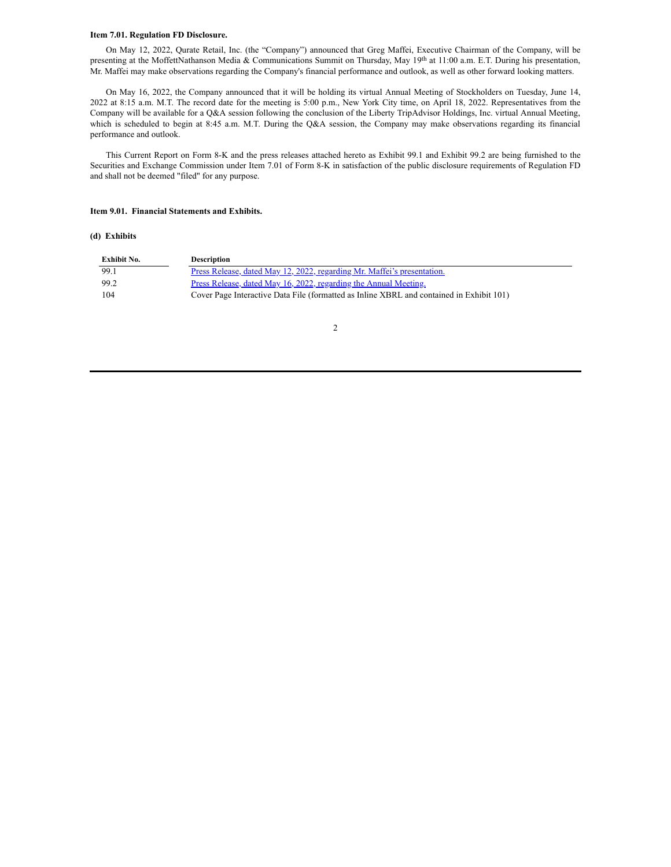#### **Item 7.01. Regulation FD Disclosure.**

On May 12, 2022, Qurate Retail, Inc. (the "Company") announced that Greg Maffei, Executive Chairman of the Company, will be presenting at the MoffettNathanson Media & Communications Summit on Thursday, May 19<sup>th</sup> at 11:00 a.m. E.T. During his presentation, Mr. Maffei may make observations regarding the Company's financial performance and outlook, as well as other forward looking matters.

On May 16, 2022, the Company announced that it will be holding its virtual Annual Meeting of Stockholders on Tuesday, June 14, 2022 at 8:15 a.m. M.T. The record date for the meeting is 5:00 p.m., New York City time, on April 18, 2022. Representatives from the Company will be available for a Q&A session following the conclusion of the Liberty TripAdvisor Holdings, Inc. virtual Annual Meeting, which is scheduled to begin at 8:45 a.m. M.T. During the Q&A session, the Company may make observations regarding its financial performance and outlook.

This Current Report on Form 8-K and the press releases attached hereto as Exhibit 99.1 and Exhibit 99.2 are being furnished to the Securities and Exchange Commission under Item 7.01 of Form 8-K in satisfaction of the public disclosure requirements of Regulation FD and shall not be deemed "filed" for any purpose.

#### **Item 9.01. Financial Statements and Exhibits.**

#### **(d) Exhibits**

| Exhibit No. | <b>Description</b>                                                                       |
|-------------|------------------------------------------------------------------------------------------|
| 99.1        | <u>Press Release, dated May 12, 2022, regarding Mr. Maffei's presentation.</u>           |
| -99.2       | <u>Press Release, dated May 16, 2022, regarding the Annual Meeting.</u>                  |
| 104         | Cover Page Interactive Data File (formatted as Inline XBRL and contained in Exhibit 101) |

2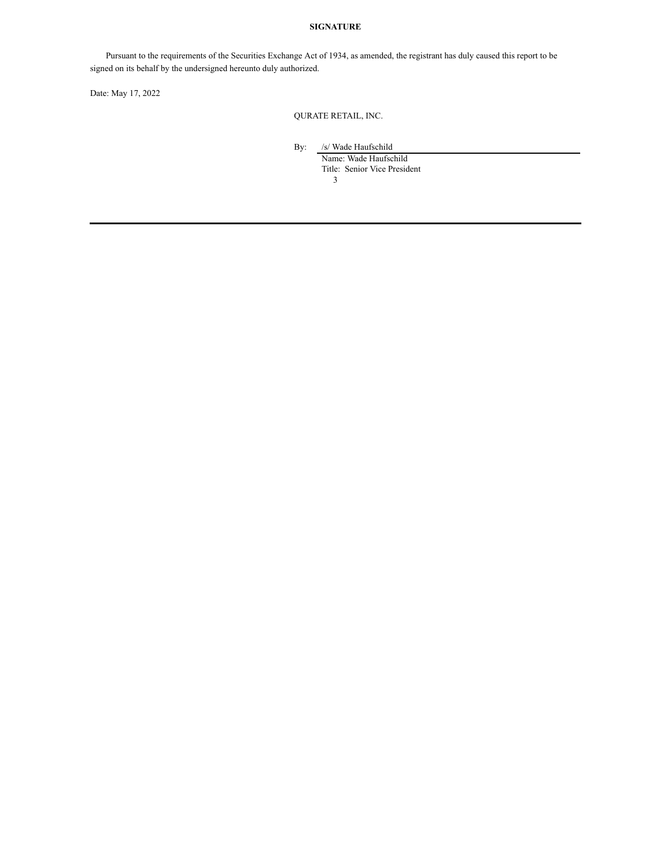# **SIGNATURE**

Pursuant to the requirements of the Securities Exchange Act of 1934, as amended, the registrant has duly caused this report to be signed on its behalf by the undersigned hereunto duly authorized.

Date: May 17, 2022

QURATE RETAIL, INC.

By: /s/ Wade Haufschild

3 Name: Wade Haufschild Title: Senior Vice President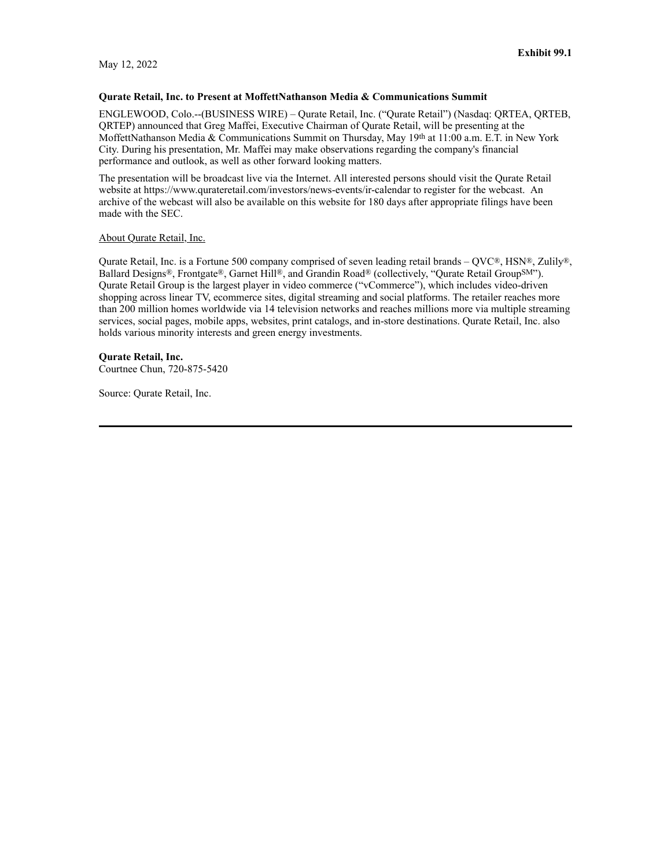May 12, 2022

# **Qurate Retail, Inc. to Present at MoffettNathanson Media & Communications Summit**

ENGLEWOOD, Colo.--(BUSINESS WIRE) – Qurate Retail, Inc. ("Qurate Retail") (Nasdaq: QRTEA, QRTEB, QRTEP) announced that Greg Maffei, Executive Chairman of Qurate Retail, will be presenting at the MoffettNathanson Media & Communications Summit on Thursday, May 19th at 11:00 a.m. E.T. in New York City. During his presentation, Mr. Maffei may make observations regarding the company's financial performance and outlook, as well as other forward looking matters.

The presentation will be broadcast live via the Internet. All interested persons should visit the Qurate Retail website at https://www.qurateretail.com/investors/news-events/ir-calendar to register for the webcast. An archive of the webcast will also be available on this website for 180 days after appropriate filings have been made with the SEC.

### About Qurate Retail, Inc.

Qurate Retail, Inc. is a Fortune 500 company comprised of seven leading retail brands –  $\text{OVC}^{\circledast}$ , HSN®, Zulily®, Ballard Designs®, Frontgate®, Garnet Hill®, and Grandin Road® (collectively, "Qurate Retail GroupSM"). Qurate Retail Group is the largest player in video commerce ("vCommerce"), which includes video-driven shopping across linear TV, ecommerce sites, digital streaming and social platforms. The retailer reaches more than 200 million homes worldwide via 14 television networks and reaches millions more via multiple streaming services, social pages, mobile apps, websites, print catalogs, and in-store destinations. Qurate Retail, Inc. also holds various minority interests and green energy investments.

# **Qurate Retail, Inc.**

Courtnee Chun, 720-875-5420

Source: Qurate Retail, Inc.